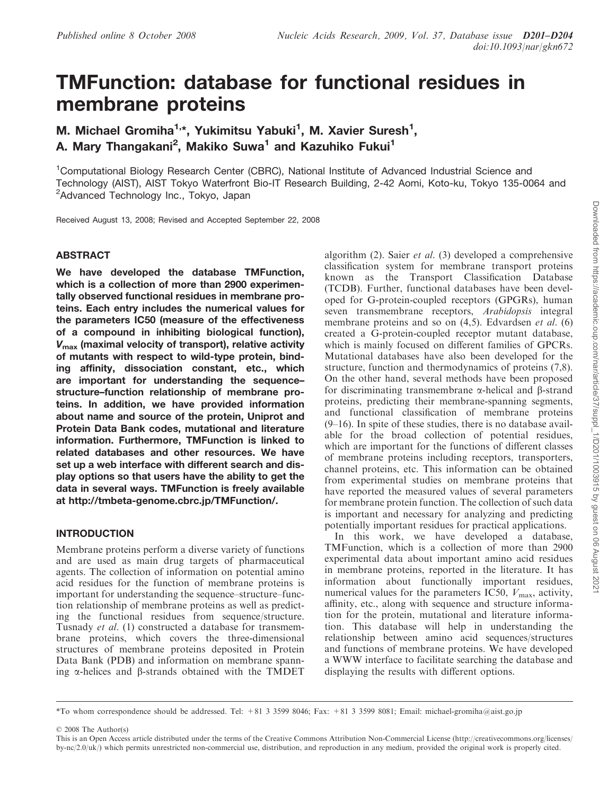# TMFunction: database for functional residues in membrane proteins

M. Michael Gromiha<sup>1,\*</sup>, Yukimitsu Yabuki<sup>1</sup>, M. Xavier Suresh<sup>1</sup>, A. Mary Thangakani<sup>2</sup>, Makiko Suwa<sup>1</sup> and Kazuhiko Fukui<sup>1</sup>

<sup>1</sup>Computational Biology Research Center (CBRC), National Institute of Advanced Industrial Science and Technology (AIST), AIST Tokyo Waterfront Bio-IT Research Building, 2-42 Aomi, Koto-ku, Tokyo 135-0064 and <sup>2</sup>Advanced Technology Inc., Tokyo, Japan

Received August 13, 2008; Revised and Accepted September 22, 2008

#### ABSTRACT

We have developed the database TMFunction, which is a collection of more than 2900 experimentally observed functional residues in membrane proteins. Each entry includes the numerical values for the parameters IC50 (measure of the effectiveness of a compound in inhibiting biological function),  $V_{\text{max}}$  (maximal velocity of transport), relative activity of mutants with respect to wild-type protein, binding affinity, dissociation constant, etc., which are important for understanding the sequence– structure–function relationship of membrane proteins. In addition, we have provided information about name and source of the protein, Uniprot and Protein Data Bank codes, mutational and literature information. Furthermore, TMFunction is linked to related databases and other resources. We have set up a web interface with different search and display options so that users have the ability to get the data in several ways. TMFunction is freely available at http://tmbeta-genome.cbrc.jp/TMFunction/.

#### INTRODUCTION

Membrane proteins perform a diverse variety of functions and are used as main drug targets of pharmaceutical agents. The collection of information on potential amino acid residues for the function of membrane proteins is important for understanding the sequence–structure–function relationship of membrane proteins as well as predicting the functional residues from sequence/structure. Tusnady et al. (1) constructed a database for transmembrane proteins, which covers the three-dimensional structures of membrane proteins deposited in Protein Data Bank (PDB) and information on membrane spanning  $\alpha$ -helices and  $\beta$ -strands obtained with the TMDET algorithm  $(2)$ . Saier *et al.*  $(3)$  developed a comprehensive classification system for membrane transport proteins known as the Transport Classification Database (TCDB). Further, functional databases have been developed for G-protein-coupled receptors (GPGRs), human seven transmembrane receptors, Arabidopsis integral membrane proteins and so on  $(4,5)$ . Edvardsen *et al.*  $(6)$ created a G-protein-coupled receptor mutant database, which is mainly focused on different families of GPCRs. Mutational databases have also been developed for the structure, function and thermodynamics of proteins (7,8). On the other hand, several methods have been proposed for discriminating transmembrane  $\alpha$ -helical and  $\beta$ -strand proteins, predicting their membrane-spanning segments, and functional classification of membrane proteins (9–16). In spite of these studies, there is no database available for the broad collection of potential residues, which are important for the functions of different classes of membrane proteins including receptors, transporters, channel proteins, etc. This information can be obtained from experimental studies on membrane proteins that have reported the measured values of several parameters for membrane protein function. The collection of such data is important and necessary for analyzing and predicting potentially important residues for practical applications.

In this work, we have developed a database, TMFunction, which is a collection of more than 2900 experimental data about important amino acid residues in membrane proteins, reported in the literature. It has information about functionally important residues, numerical values for the parameters IC50,  $V_{\text{max}}$ , activity, affinity, etc., along with sequence and structure information for the protein, mutational and literature information. This database will help in understanding the relationship between amino acid sequences/structures and functions of membrane proteins. We have developed a WWW interface to facilitate searching the database and displaying the results with different options.

2008 The Author(s)

<sup>\*</sup>To whom correspondence should be addressed. Tel: +81 3 3599 8046; Fax: +81 3 3599 8081; Email: michael-gromiha@aist.go.jp

This is an Open Access article distributed under the terms of the Creative Commons Attribution Non-Commercial License (http://creativecommons.org/licenses/  $b$ y-nc/2.0/uk/) which permits unrestricted non-commercial use, distribution, and reproduction in any medium, provided the original work is properly cited.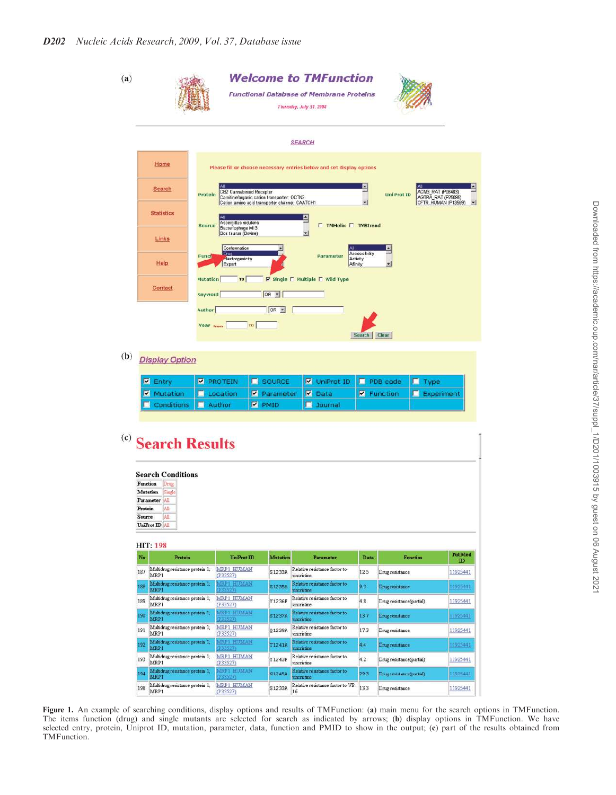| (a)                                                                                                                       |                                                    |                                                                       | <b>Welcome to TMFunction</b><br><b>Functional Database of Membrane Proteins</b><br>Thursday, July 31, 2008 |                                                           |        |                        |                                                   |  |
|---------------------------------------------------------------------------------------------------------------------------|----------------------------------------------------|-----------------------------------------------------------------------|------------------------------------------------------------------------------------------------------------|-----------------------------------------------------------|--------|------------------------|---------------------------------------------------|--|
|                                                                                                                           |                                                    | <b>SEARCH</b>                                                         |                                                                                                            |                                                           |        |                        |                                                   |  |
|                                                                                                                           | Home                                               | Please fill or choose necessary entries below and set display options |                                                                                                            |                                                           |        |                        |                                                   |  |
|                                                                                                                           | Search                                             | CB2 Cannabinoid Receptor<br>Protein                                   | Carnitine/organic cation transporter; OCTN2                                                                |                                                           | Е<br>۳ | <b>Uni Prot ID</b>     | E<br>ACM3_RAT (P08483)<br>AGTRA RAT (P25095)<br>۰ |  |
|                                                                                                                           | <b>Statistics</b>                                  | Aspergillus nidulans<br>Source                                        | Cation amino acid transporter channel; CAATCH1                                                             | 므<br><b>TMHelix T TMStrand</b>                            |        |                        |                                                   |  |
|                                                                                                                           | Links                                              | Bacteriophage M13<br>Bos taurus (Bovine)<br>Conformation              |                                                                                                            | $\frac{1}{2}$                                             |        | $\Delta$               |                                                   |  |
|                                                                                                                           | Help                                               | Drug<br>Funct<br>Electrogenicity<br>Export                            |                                                                                                            | Accessibility<br>Parameter<br><b>Activity</b><br>Affinity |        | ᆌ                      |                                                   |  |
| $\triangledown$ Single $\sqcap$ Multiple $\sqcap$ Wild Type<br><b>Mutation</b><br>TO<br>Contact<br>OR E<br><b>Keyword</b> |                                                    |                                                                       |                                                                                                            |                                                           |        |                        |                                                   |  |
|                                                                                                                           | Author<br>OR -<br>TO:<br>Year From<br>Search Clear |                                                                       |                                                                                                            |                                                           |        |                        |                                                   |  |
| (b)<br><b>Display Option</b>                                                                                              |                                                    |                                                                       |                                                                                                            |                                                           |        |                        |                                                   |  |
|                                                                                                                           | $\nabla$ Entry                                     | <b>PROTEIN</b>                                                        | SOURCE                                                                                                     | <b>V</b> UniProt ID                                       | п      | PDB code               | $\Box$ Type                                       |  |
|                                                                                                                           | Mutation                                           | Location                                                              | ☑<br>Parameter                                                                                             | ×<br>Data                                                 |        | <b>V</b> Function<br>п | Experiment                                        |  |
|                                                                                                                           | Conditions                                         | Author<br>п.                                                          | $\nabla$ PMID                                                                                              | п<br>Journal                                              |        |                        |                                                   |  |
| (c)<br><b>Search Results</b><br><b>Search Conditions</b><br>Function<br>Drug                                              |                                                    |                                                                       |                                                                                                            |                                                           |        |                        |                                                   |  |
|                                                                                                                           |                                                    |                                                                       |                                                                                                            |                                                           |        |                        |                                                   |  |
|                                                                                                                           |                                                    |                                                                       |                                                                                                            |                                                           |        |                        |                                                   |  |
|                                                                                                                           | Mutation<br>Smak<br>Parameter All                  |                                                                       |                                                                                                            |                                                           |        |                        |                                                   |  |
|                                                                                                                           | Protein<br>All                                     |                                                                       |                                                                                                            |                                                           |        |                        |                                                   |  |
|                                                                                                                           | AII<br>Source<br>UniProt ID All                    |                                                                       |                                                                                                            |                                                           |        |                        |                                                   |  |
|                                                                                                                           |                                                    |                                                                       |                                                                                                            |                                                           |        |                        |                                                   |  |
|                                                                                                                           | <b>HIT: 198</b><br>No.<br>Pretein                  | UniProt ID                                                            | <b>Mutation</b>                                                                                            | Parameter                                                 | Data   | Function               | PubMed                                            |  |
|                                                                                                                           | Multidrug resistance protein 1;<br>187<br>MRP1     | MRP1 HUMAN<br>(P33527)                                                | S1233A                                                                                                     | Relative resistance factor to<br>vincristine              | 12.5   | Drug resistance        | $\mathbf{D}$<br>11925441                          |  |

Figure 1. An example of searching conditions, display options and results of TMFunction: (a) main menu for the search options in TMFunction. The items function (drug) and single mutants are selected for search as indicated by arrows; (b) display options in TMFunction. We have selected entry, protein, Uniprot ID, mutation, parameter, data, function and PMID to show in the output; (c) part of the results obtained from TMFunction.

Relative resistance factor to

Relative resistance factor to

 $\fbox{51233A} \begin{tabular}{|l|l|} \hline \textbf{Relative resistance factor to VP-} \\ \hline 16 \\ \hline \end{tabular} \fbox{13.3}$ 

e factor to

ncristine

vincristine

Relative resist

*incristine* 

S1235A

Y1236F

S1237A

Q1239A

T1241A

Y1243F

N1245A

MRP1 HUMAN

MRP1 HUMAN<br>(P33527)

MRP1 HUMAN<br>(P33527)

MRP1 HUMAN<br>(P33527)

P33527

 $\sin 1$ 

188 **MRP** 189 Multidi

190 **MRP** Multidr

191

192

194

MRP 193 Multidr

MRP

 $\boxed{198\begin{array}{|l|} \hline \textbf{Multi drug resistance protein 1;}\\ \textbf{MRP1} \end{array}}$ 

9.3

4.8

13.7

17.3

44

 $4.2$ 

29.3

Drug resistance

Drug resistance

Drug resistance

Drug resistance

Drug resistance

Drug resistance(partial)

Drug resistance(partial

Drug resistance(partial)

11925441

11925441

11925441

11925441

1925441

11925441

11925441

11925441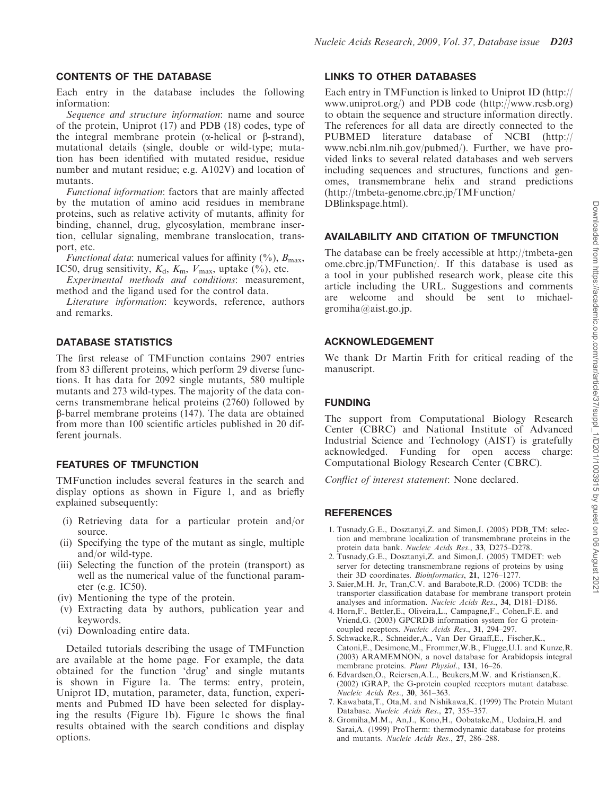## CONTENTS OF THE DATABASE

Each entry in the database includes the following information:

Sequence and structure information: name and source of the protein, Uniprot (17) and PDB (18) codes, type of the integral membrane protein ( $\alpha$ -helical or  $\beta$ -strand), mutational details (single, double or wild-type; mutation has been identified with mutated residue, residue number and mutant residue; e.g. A102V) and location of mutants.

Functional information: factors that are mainly affected by the mutation of amino acid residues in membrane proteins, such as relative activity of mutants, affinity for binding, channel, drug, glycosylation, membrane insertion, cellular signaling, membrane translocation, transport, etc.

*Functional data:* numerical values for affinity  $(\%)$ ,  $B_{\text{max}}$ , IC50, drug sensitivity,  $K_d$ ,  $K_m$ ,  $V_{\text{max}}$ , uptake  $(\%)$ , etc.

Experimental methods and conditions: measurement, method and the ligand used for the control data.

Literature information: keywords, reference, authors and remarks.

# DATABASE STATISTICS

The first release of TMFunction contains 2907 entries from 83 different proteins, which perform 29 diverse functions. It has data for 2092 single mutants, 580 multiple mutants and 273 wild-types. The majority of the data concerns transmembrane helical proteins (2760) followed by b-barrel membrane proteins (147). The data are obtained from more than 100 scientific articles published in 20 different journals.

# FEATURES OF TMFUNCTION

TMFunction includes several features in the search and display options as shown in Figure 1, and as briefly explained subsequently:

- (i) Retrieving data for a particular protein and/or source.
- (ii) Specifying the type of the mutant as single, multiple and/or wild-type.
- (iii) Selecting the function of the protein (transport) as well as the numerical value of the functional parameter (e.g. IC50).
- (iv) Mentioning the type of the protein.
- (v) Extracting data by authors, publication year and keywords.
- (vi) Downloading entire data.

Detailed tutorials describing the usage of TMFunction are available at the home page. For example, the data obtained for the function 'drug' and single mutants is shown in Figure 1a. The terms: entry, protein, Uniprot ID, mutation, parameter, data, function, experiments and Pubmed ID have been selected for displaying the results (Figure 1b). Figure 1c shows the final results obtained with the search conditions and display options.

#### LINKS TO OTHER DATABASES

Each entry in TMFunction is linked to Uniprot ID (http:// www.uniprot.org/) and PDB code (http://www.rcsb.org) to obtain the sequence and structure information directly. The references for all data are directly connected to the PUBMED literature database of NCBI (http:// www.ncbi.nlm.nih.gov/pubmed/). Further, we have provided links to several related databases and web servers including sequences and structures, functions and genomes, transmembrane helix and strand predictions (http://tmbeta-genome.cbrc.jp/TMFunction/ DBlinkspage.html).

## AVAILABILITY AND CITATION OF TMFUNCTION

The database can be freely accessible at http://tmbeta-gen ome.cbrc.jp/TMFunction/. If this database is used as a tool in your published research work, please cite this article including the URL. Suggestions and comments are welcome and should be sent to michaelgromiha@aist.go.jp.

## ACKNOWLEDGEMENT

We thank Dr Martin Frith for critical reading of the manuscript.

## FUNDING

The support from Computational Biology Research Center (CBRC) and National Institute of Advanced Industrial Science and Technology (AIST) is gratefully acknowledged. Funding for open access charge: Computational Biology Research Center (CBRC).

Conflict of interest statement: None declared.

# **REFERENCES**

- 1. Tusnady,G.E., Dosztanyi,Z. and Simon,I. (2005) PDB\_TM: selection and membrane localization of transmembrane proteins in the protein data bank. Nucleic Acids Res., 33, D275–D278.
- 2. Tusnady,G.E., Dosztanyi,Z. and Simon,I. (2005) TMDET: web server for detecting transmembrane regions of proteins by using their 3D coordinates. Bioinformatics, 21, 1276–1277.
- 3. Saier,M.H. Jr, Tran,C.V. and Barabote,R.D. (2006) TCDB: the transporter classification database for membrane transport protein analyses and information. Nucleic Acids Res., 34, D181–D186.
- 4. Horn,F., Bettler,E., Oliveira,L., Campagne,F., Cohen,F.E. and Vriend,G. (2003) GPCRDB information system for G proteincoupled receptors. Nucleic Acids Res., 31, 294–297.
- 5. Schwacke,R., Schneider,A., Van Der Graaff,E., Fischer,K., Catoni,E., Desimone,M., Frommer,W.B., Flugge,U.I. and Kunze,R. (2003) ARAMEMNON, a novel database for Arabidopsis integral membrane proteins. Plant Physiol., 131, 16–26.
- 6. Edvardsen,O., Reiersen,A.L., Beukers,M.W. and Kristiansen,K. (2002) tGRAP, the G-protein coupled receptors mutant database. Nucleic Acids Res., 30, 361–363.
- 7. Kawabata,T., Ota,M. and Nishikawa,K. (1999) The Protein Mutant Database. Nucleic Acids Res., 27, 355–357.
- 8. Gromiha,M.M., An,J., Kono,H., Oobatake,M., Uedaira,H. and Sarai,A. (1999) ProTherm: thermodynamic database for proteins and mutants. Nucleic Acids Res., 27, 286–288.